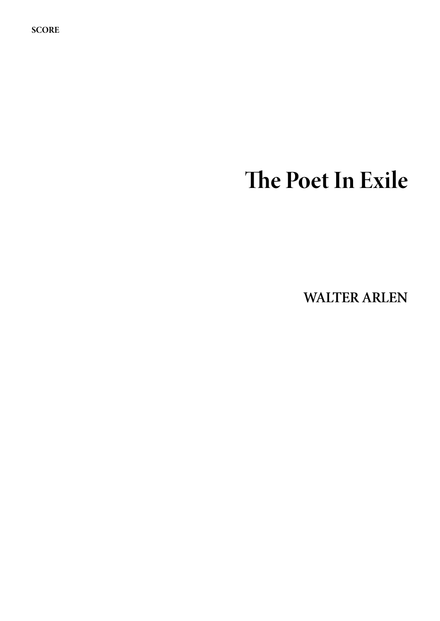**SCORE** 

## The Poet In Exile

**WALTER ARLEN**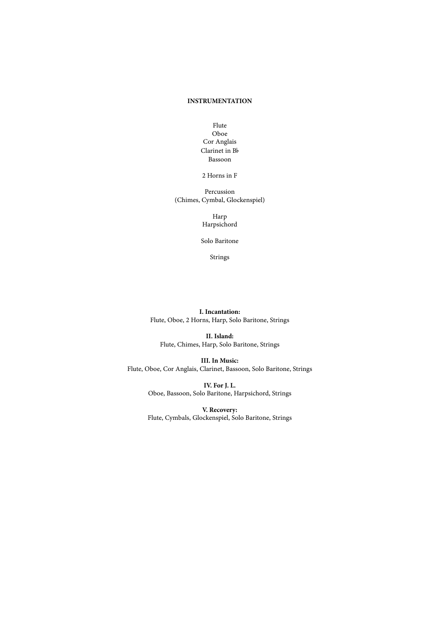## **INSTRUMENTATION**

Flute Oboe Cor Anglais Clarinet in Bb Bassoon

2 Horns in F

Percussion (Chimes, Cymbal, Glockenspiel)

> Harp Harpsichord

Solo Baritone

Strings

**I. Incantation:** Flute, Oboe, 2 Horns, Harp, Solo Baritone, Strings

**II. Island:** Flute, Chimes, Harp, Solo Baritone, Strings

**III. In Music:** Flute, Oboe, Cor Anglais, Clarinet, Bassoon, Solo Baritone, Strings

> **IV. For J. L.** Oboe, Bassoon, Solo Baritone, Harpsichord, Strings

> **V. Recovery:** Flute, Cymbals, Glockenspiel, Solo Baritone, Strings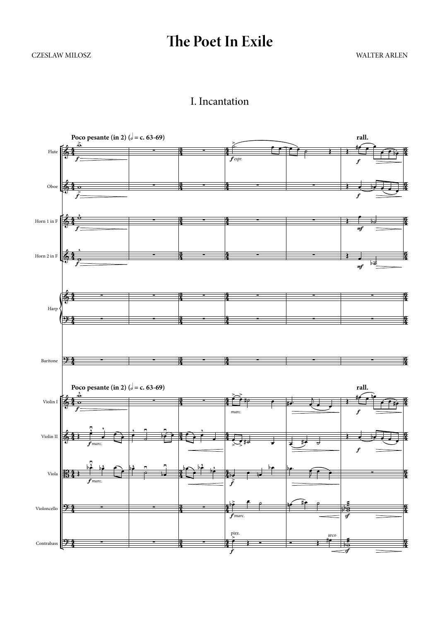

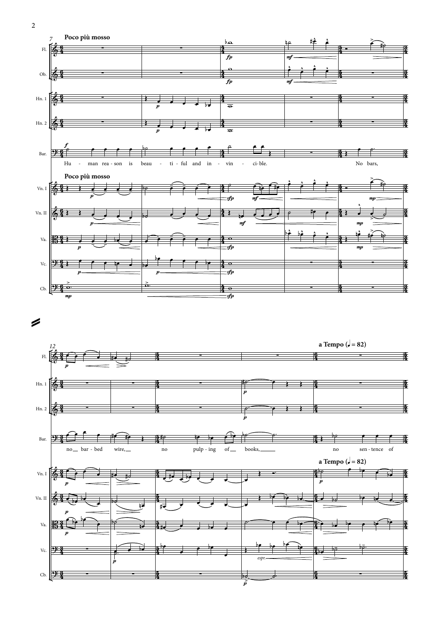

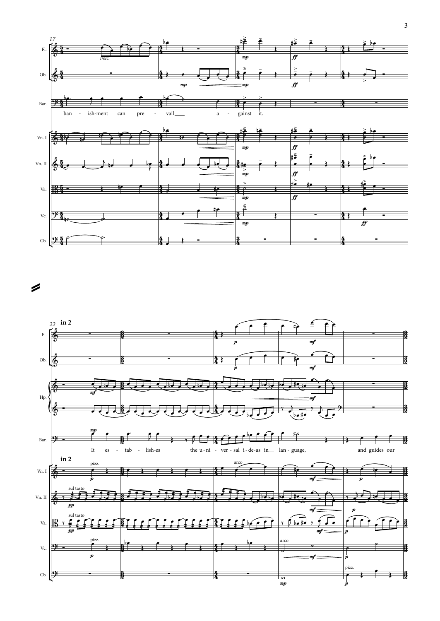

 $\overline{\phantom{a}}$ 

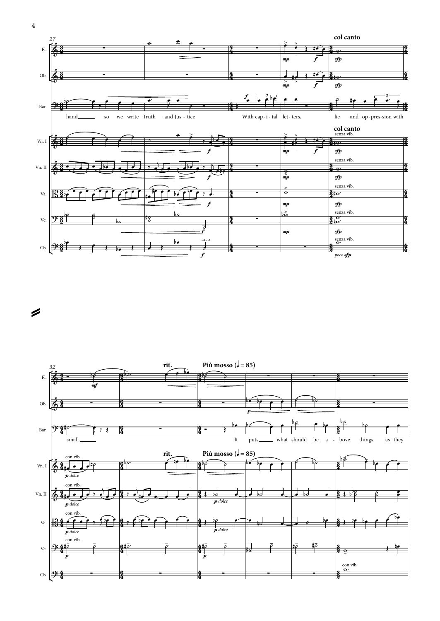

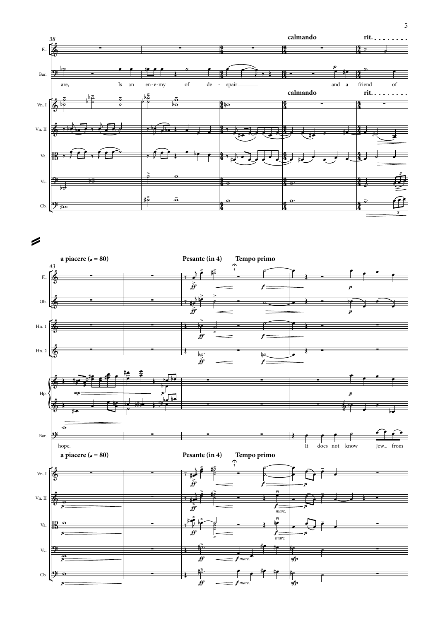

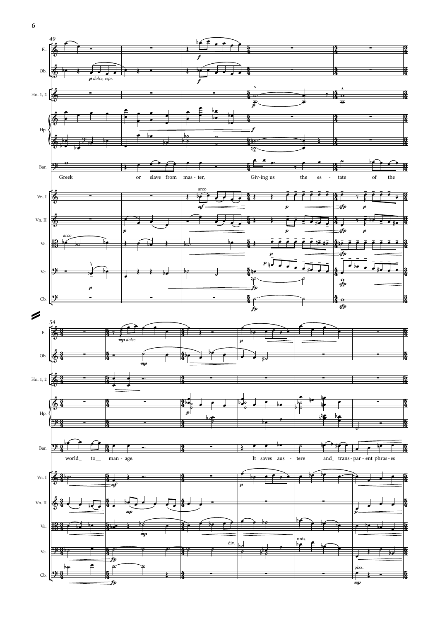

 $\sqrt{6}$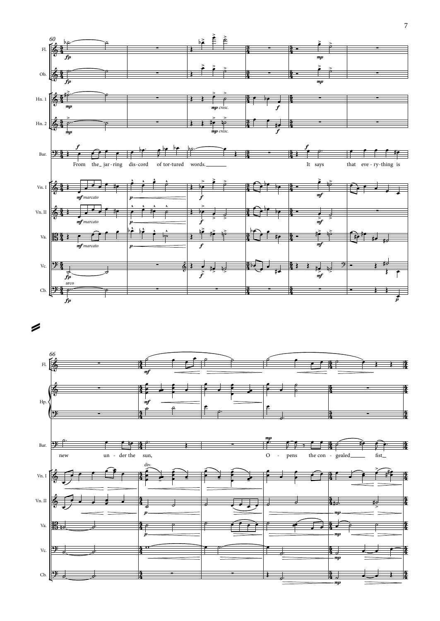

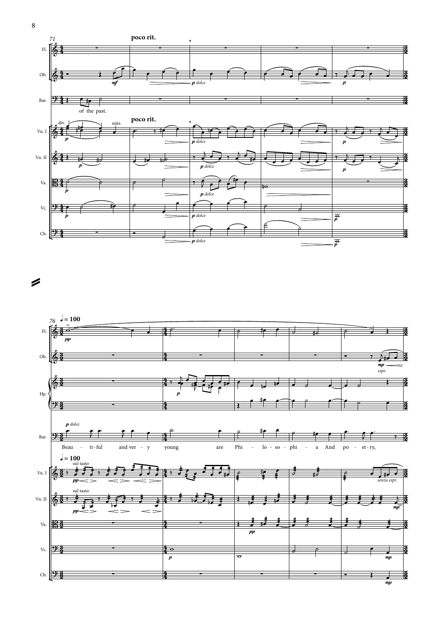

 $\boldsymbol{\mathcal{Z}}$ 



 $\boldsymbol{8}$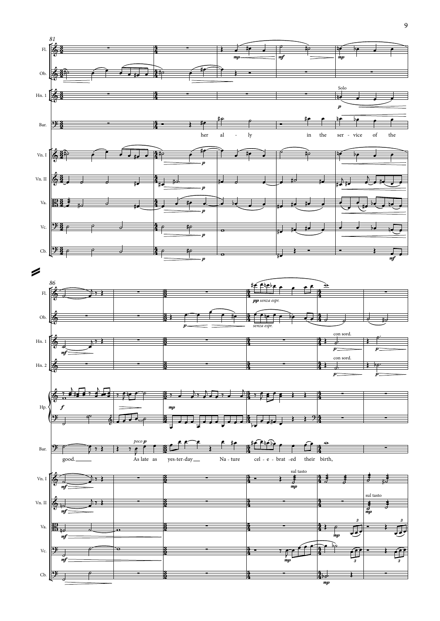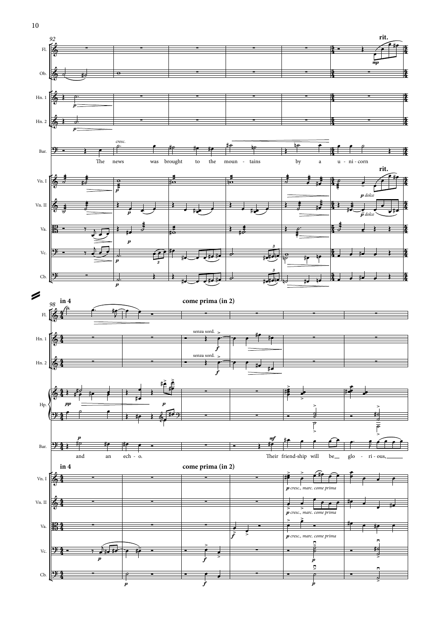

 $10\,$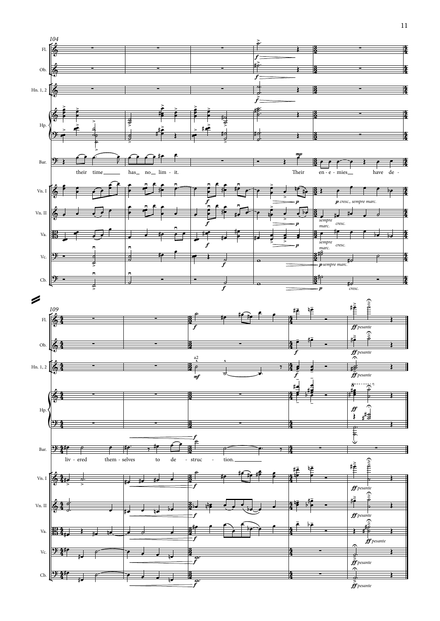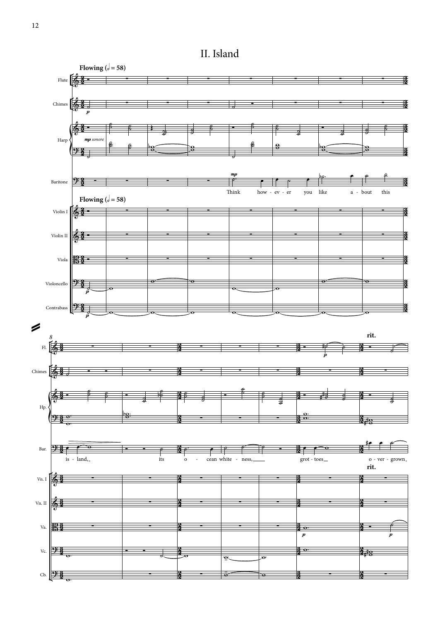

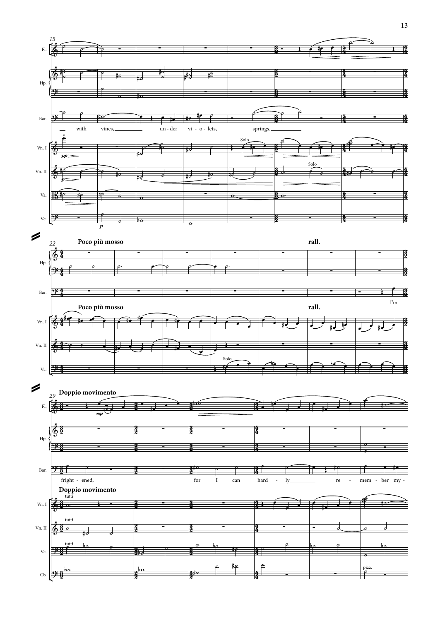![](_page_14_Figure_0.jpeg)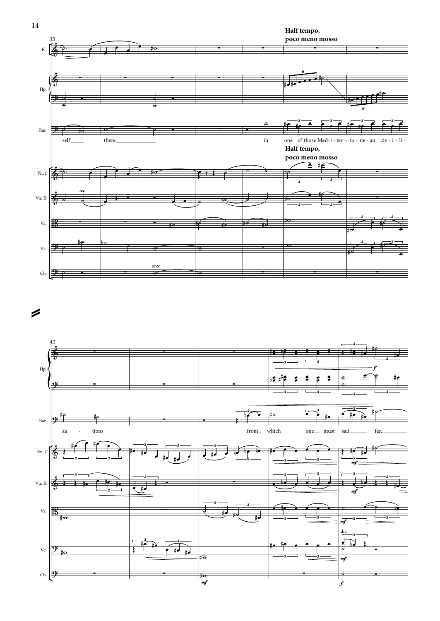![](_page_15_Figure_0.jpeg)

![](_page_15_Figure_1.jpeg)

![](_page_15_Figure_2.jpeg)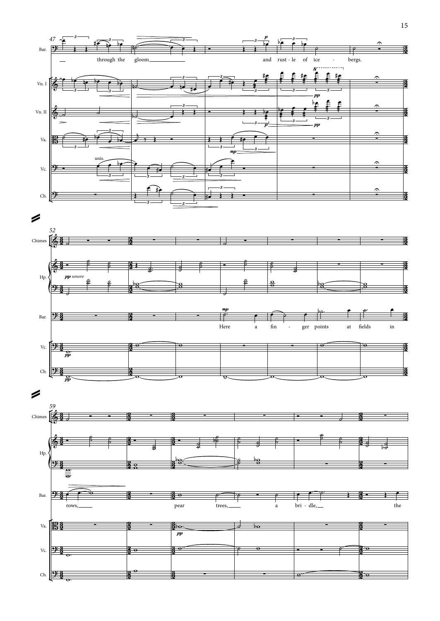![](_page_16_Figure_0.jpeg)

![](_page_16_Figure_1.jpeg)

![](_page_16_Figure_2.jpeg)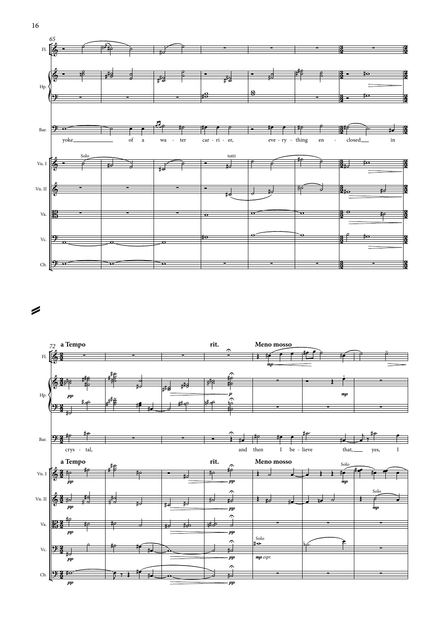![](_page_17_Figure_0.jpeg)

 $\overline{\phantom{a}}$ 

![](_page_17_Figure_2.jpeg)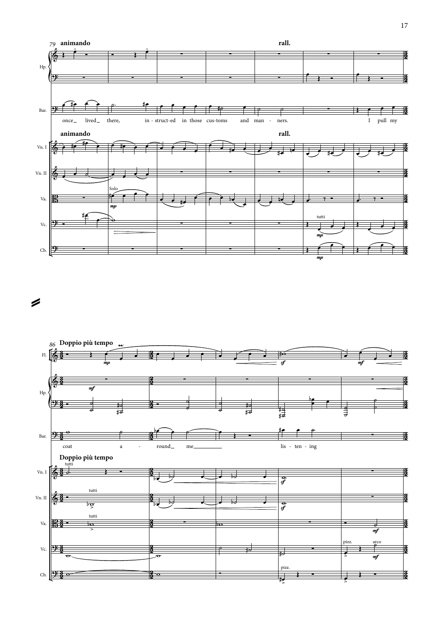![](_page_18_Figure_0.jpeg)

![](_page_18_Figure_2.jpeg)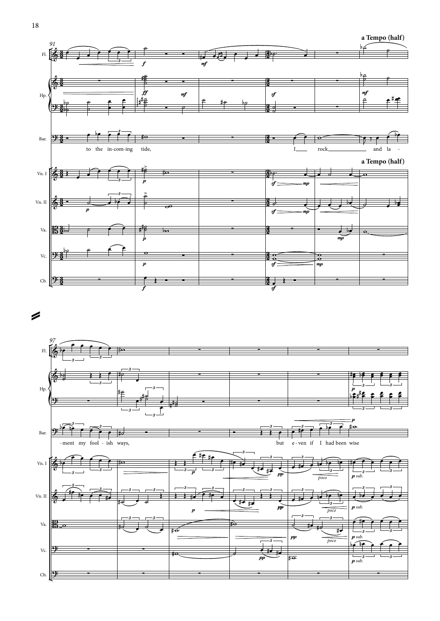![](_page_19_Figure_0.jpeg)

![](_page_19_Figure_2.jpeg)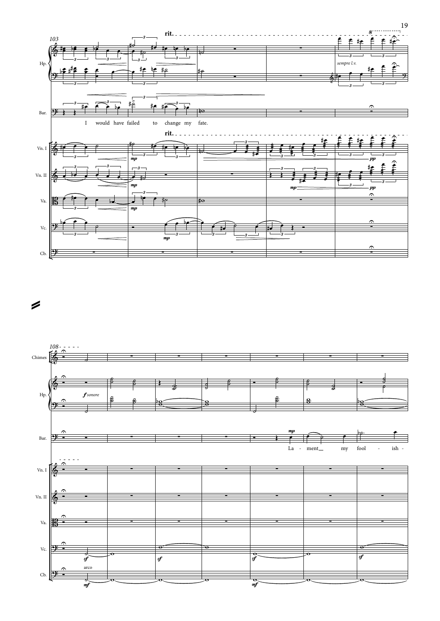![](_page_20_Figure_0.jpeg)

 $\boldsymbol{\mathcal{Z}}$ 

![](_page_20_Figure_2.jpeg)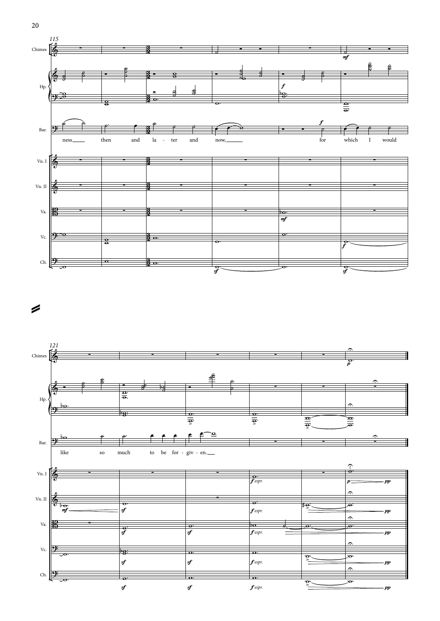![](_page_21_Figure_0.jpeg)

![](_page_21_Figure_2.jpeg)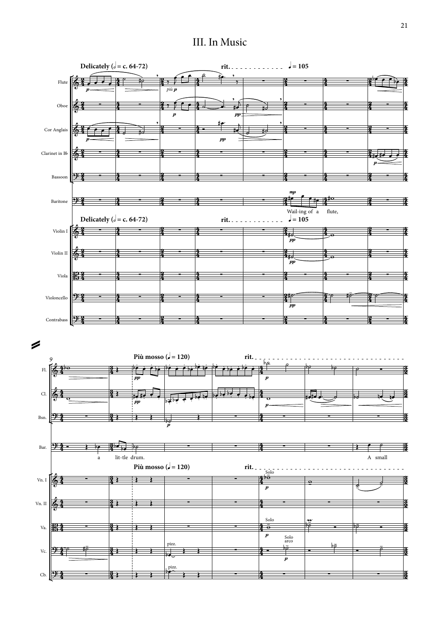III. In Music

![](_page_22_Figure_1.jpeg)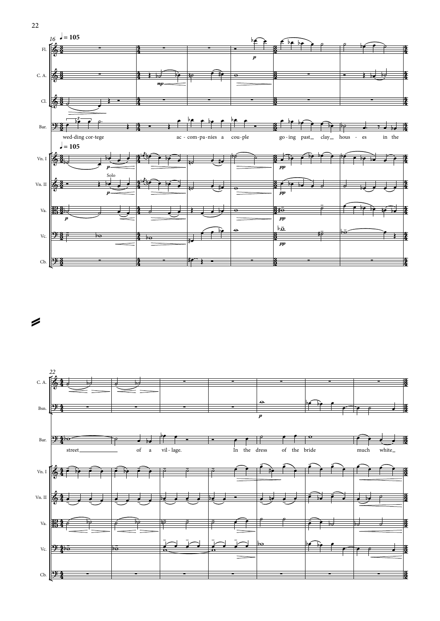![](_page_23_Figure_0.jpeg)

![](_page_23_Figure_2.jpeg)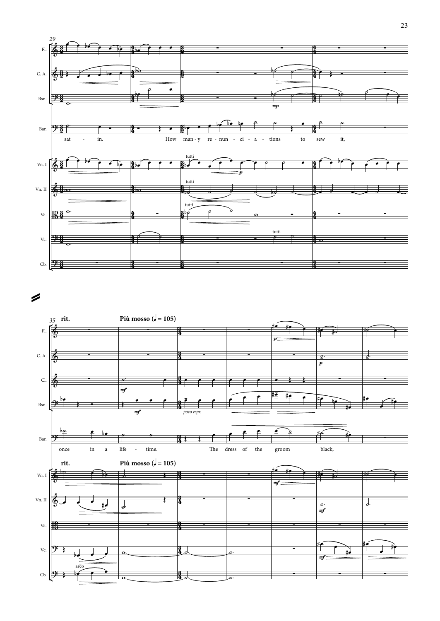![](_page_24_Figure_0.jpeg)

![](_page_24_Figure_2.jpeg)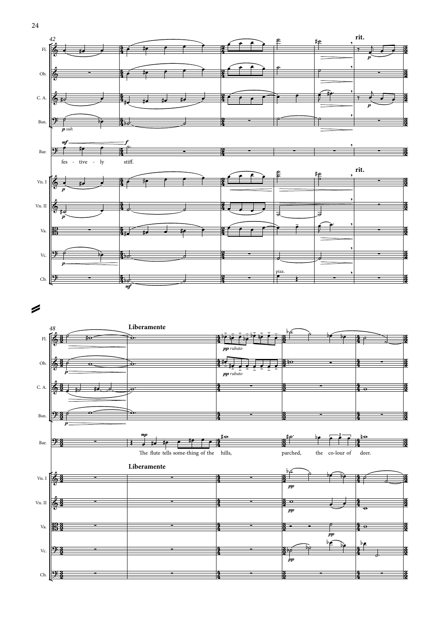![](_page_25_Figure_0.jpeg)

![](_page_25_Figure_1.jpeg)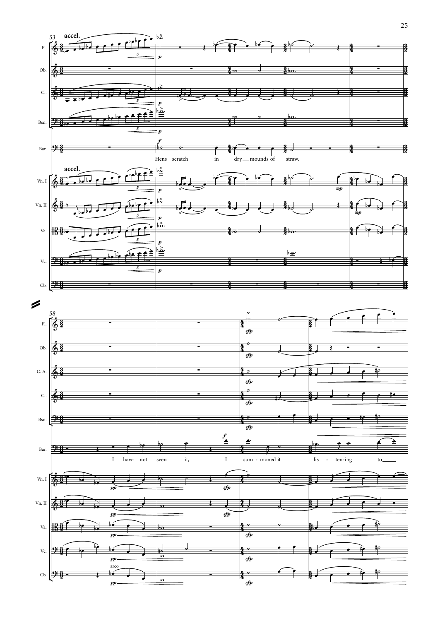![](_page_26_Figure_0.jpeg)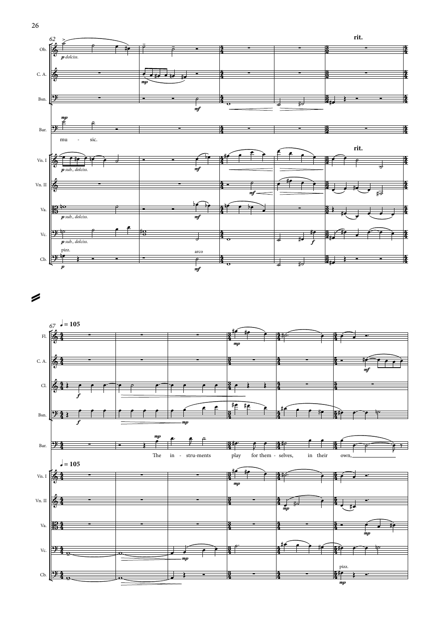![](_page_27_Figure_0.jpeg)

![](_page_27_Figure_1.jpeg)

![](_page_27_Figure_2.jpeg)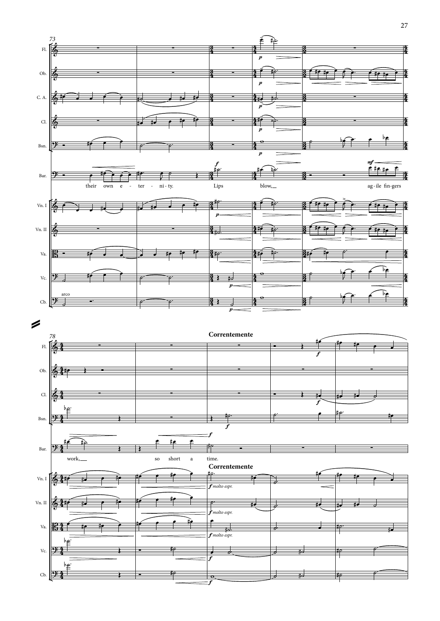![](_page_28_Figure_0.jpeg)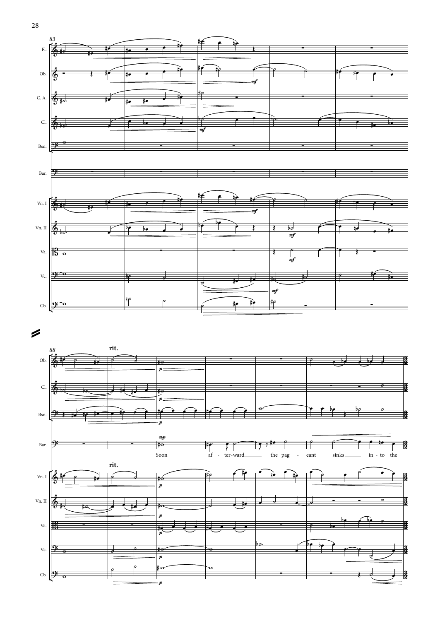![](_page_29_Figure_0.jpeg)

![](_page_29_Figure_1.jpeg)

![](_page_29_Figure_2.jpeg)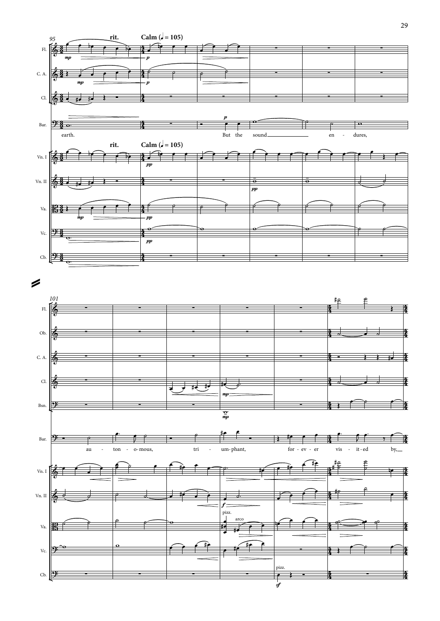![](_page_30_Figure_0.jpeg)

![](_page_30_Figure_1.jpeg)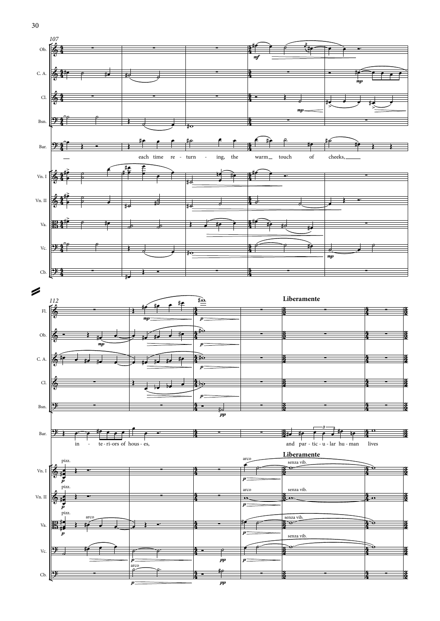![](_page_31_Figure_0.jpeg)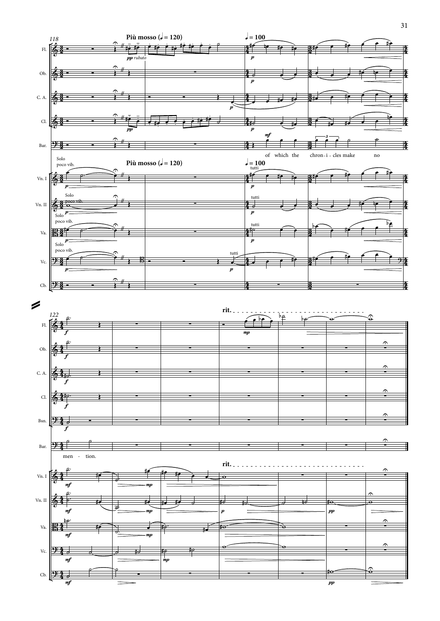![](_page_32_Figure_0.jpeg)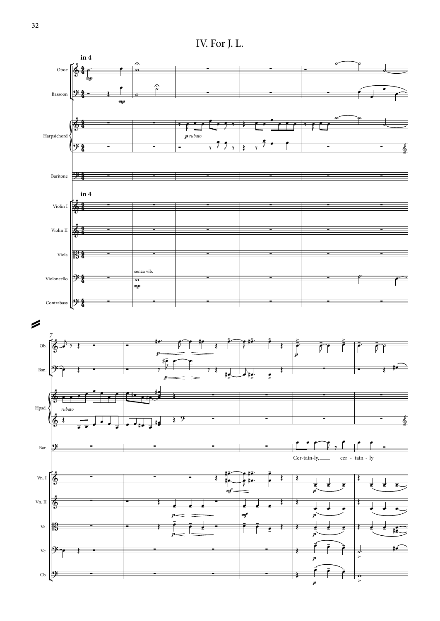IV. For J. L.

![](_page_33_Figure_1.jpeg)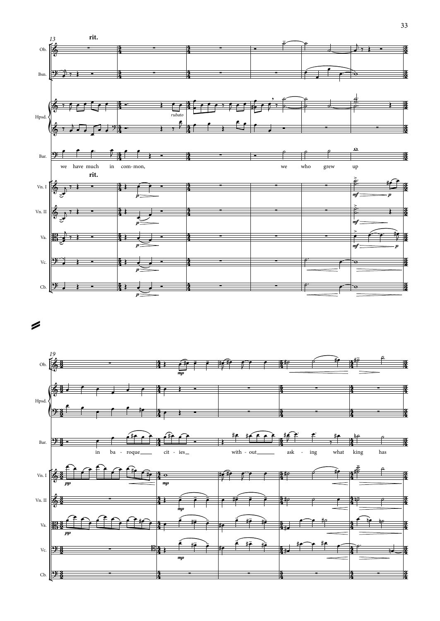![](_page_34_Figure_0.jpeg)

![](_page_34_Figure_1.jpeg)

![](_page_34_Figure_2.jpeg)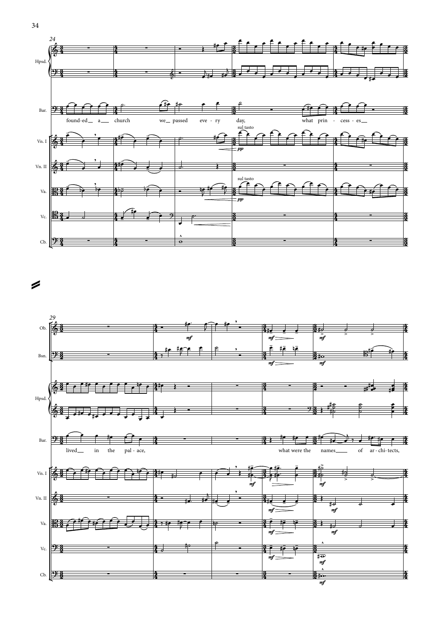![](_page_35_Figure_0.jpeg)

 $\boldsymbol{\mathscr{C}}$ 

![](_page_35_Figure_2.jpeg)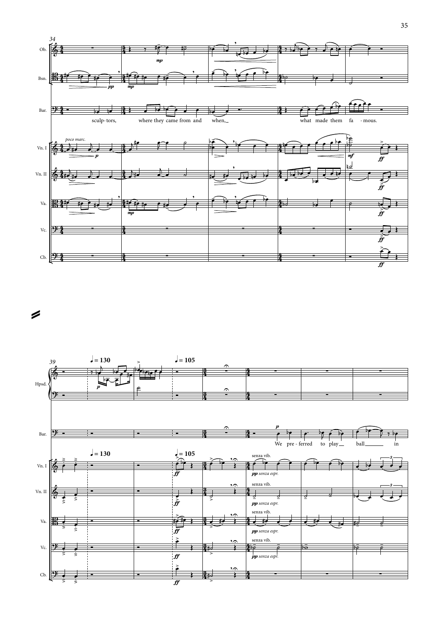![](_page_36_Figure_0.jpeg)

![](_page_36_Figure_2.jpeg)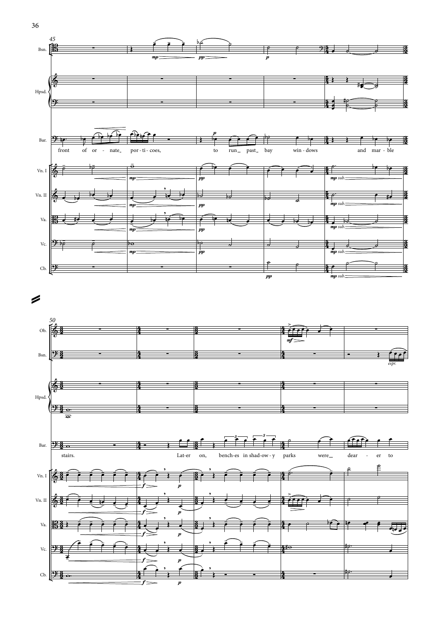![](_page_37_Figure_0.jpeg)

 $\frac{3}{2}$ 

 $\frac{3}{3}$ 

 $\rightarrow$ 

₹

 $\boldsymbol{p}$ 

 $#$ 

<u> 9:3</u>

Cb.  $\frac{1}{2}$ 

Vc.

<sup>36</sup>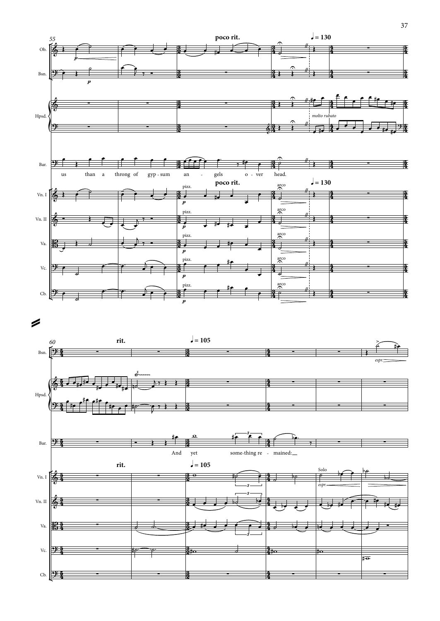![](_page_38_Figure_0.jpeg)

![](_page_38_Figure_1.jpeg)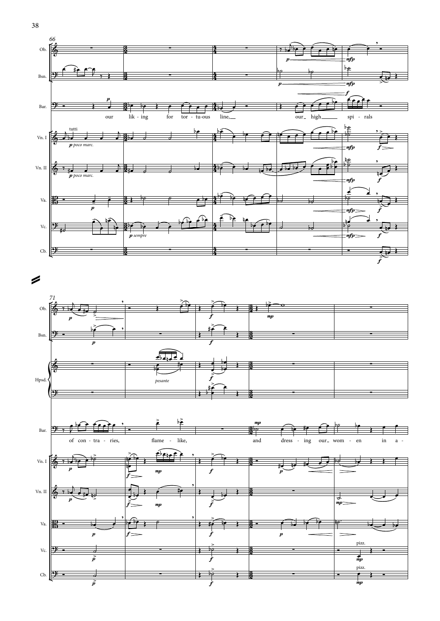![](_page_39_Figure_0.jpeg)

![](_page_39_Figure_2.jpeg)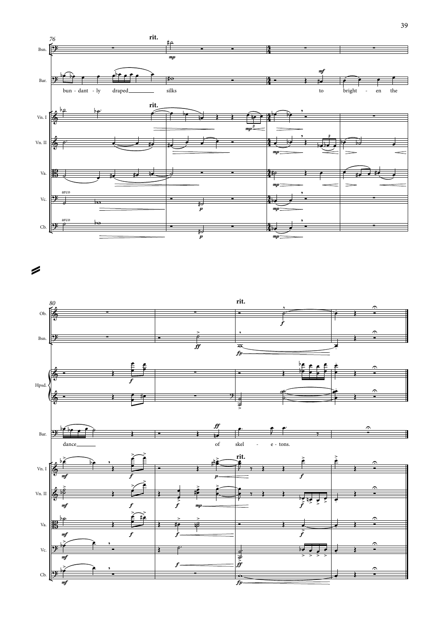![](_page_40_Figure_0.jpeg)

 $\overline{\phantom{a}}$ 

![](_page_40_Figure_2.jpeg)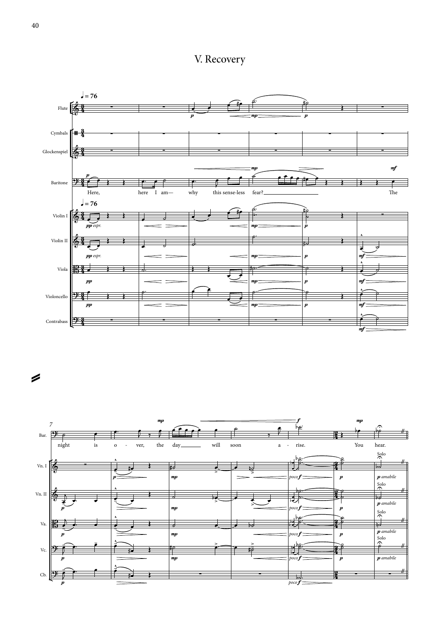![](_page_41_Figure_0.jpeg)

![](_page_41_Figure_1.jpeg)

![](_page_41_Figure_3.jpeg)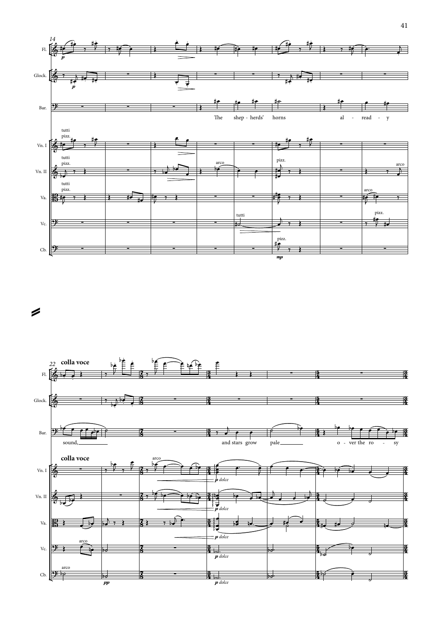![](_page_42_Figure_0.jpeg)

![](_page_42_Figure_1.jpeg)

![](_page_42_Figure_2.jpeg)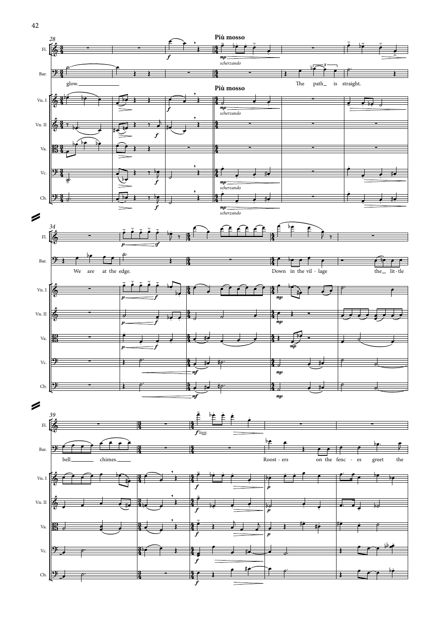![](_page_43_Figure_0.jpeg)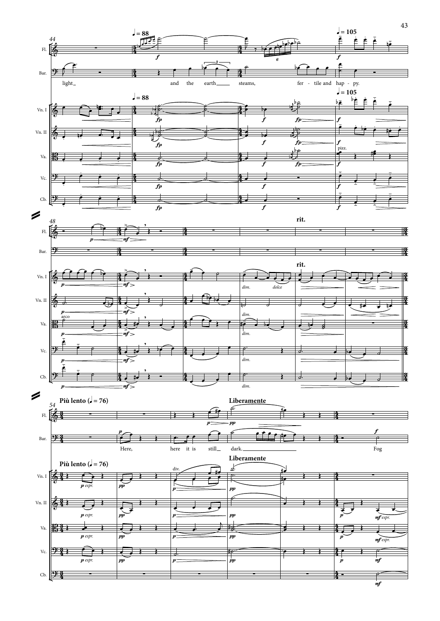![](_page_44_Figure_0.jpeg)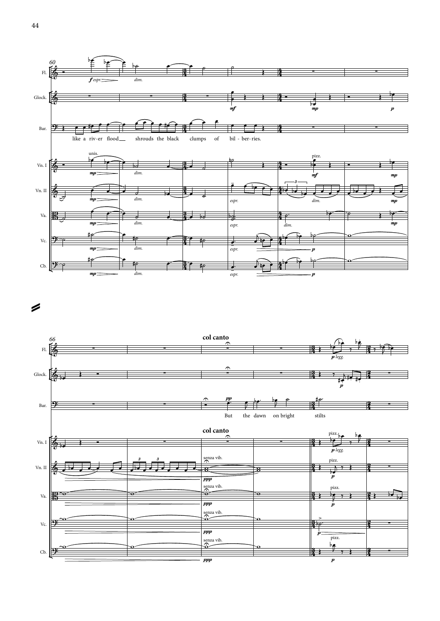![](_page_45_Figure_0.jpeg)

![](_page_45_Figure_2.jpeg)